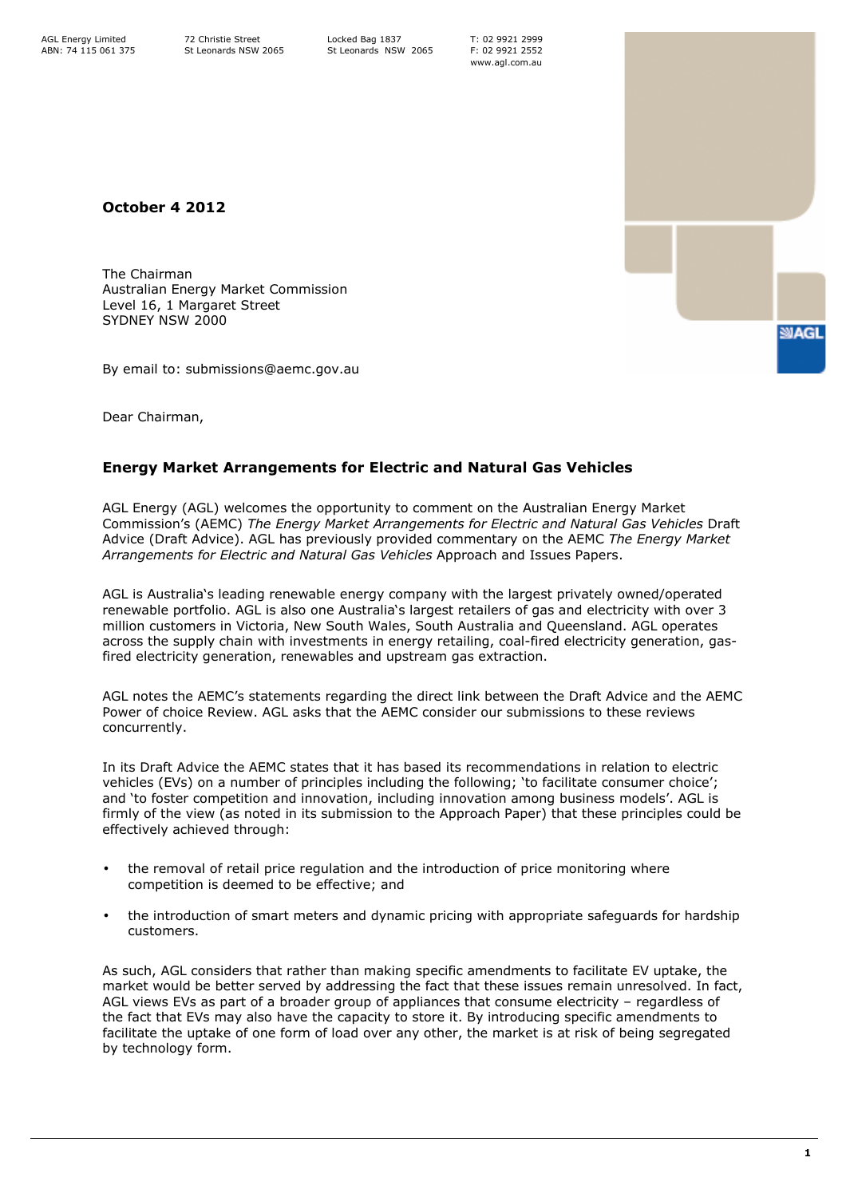T: 02 9921 2999 F: 02 9921 2552 www.agl.com.au

October 4 2012

The Chairman Australian Energy Market Commission Level 16, 1 Margaret Street SYDNEY NSW 2000

By email to: submissions@aemc.gov.au

Dear Chairman,

## Energy Market Arrangements for Electric and Natural Gas Vehicles

AGL Energy (AGL) welcomes the opportunity to comment on the Australian Energy Market Commission's (AEMC) The Energy Market Arrangements for Electric and Natural Gas Vehicles Draft Advice (Draft Advice). AGL has previously provided commentary on the AEMC The Energy Market Arrangements for Electric and Natural Gas Vehicles Approach and Issues Papers.

AGL is Australia's leading renewable energy company with the largest privately owned/operated renewable portfolio. AGL is also one Australia's largest retailers of gas and electricity with over 3 million customers in Victoria, New South Wales, South Australia and Queensland. AGL operates across the supply chain with investments in energy retailing, coal-fired electricity generation, gasfired electricity generation, renewables and upstream gas extraction.

AGL notes the AEMC's statements regarding the direct link between the Draft Advice and the AEMC Power of choice Review. AGL asks that the AEMC consider our submissions to these reviews concurrently.

In its Draft Advice the AEMC states that it has based its recommendations in relation to electric vehicles (EVs) on a number of principles including the following; 'to facilitate consumer choice'; and 'to foster competition and innovation, including innovation among business models'. AGL is firmly of the view (as noted in its submission to the Approach Paper) that these principles could be effectively achieved through:

- the removal of retail price regulation and the introduction of price monitoring where competition is deemed to be effective; and
- the introduction of smart meters and dynamic pricing with appropriate safeguards for hardship customers.

As such, AGL considers that rather than making specific amendments to facilitate EV uptake, the market would be better served by addressing the fact that these issues remain unresolved. In fact, AGL views EVs as part of a broader group of appliances that consume electricity – regardless of the fact that EVs may also have the capacity to store it. By introducing specific amendments to facilitate the uptake of one form of load over any other, the market is at risk of being segregated by technology form.

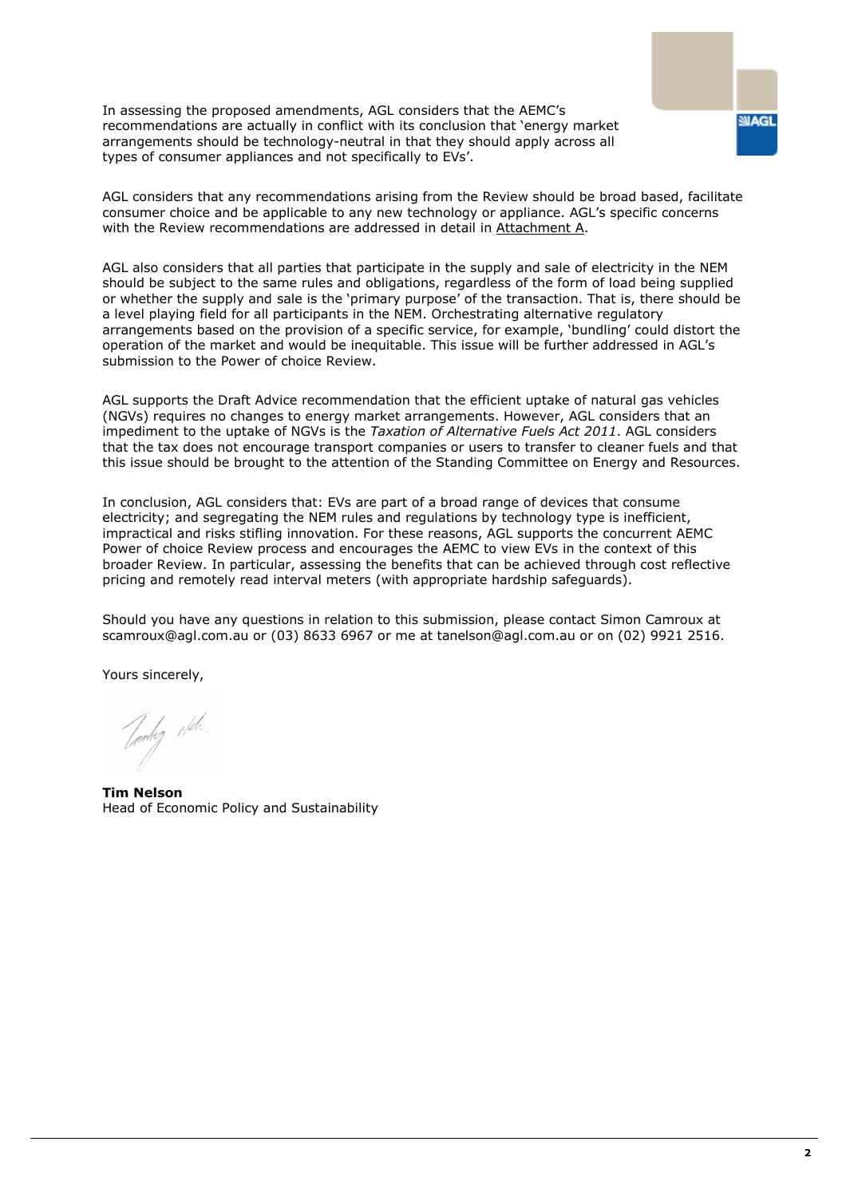In assessing the proposed amendments, AGL considers that the AEMC's recommendations are actually in conflict with its conclusion that 'energy market arrangements should be technology-neutral in that they should apply across all types of consumer appliances and not specifically to EVs'.

AGL considers that any recommendations arising from the Review should be broad based, facilitate consumer choice and be applicable to any new technology or appliance. AGL's specific concerns with the Review recommendations are addressed in detail in Attachment A.

AGL also considers that all parties that participate in the supply and sale of electricity in the NEM should be subject to the same rules and obligations, regardless of the form of load being supplied or whether the supply and sale is the 'primary purpose' of the transaction. That is, there should be a level playing field for all participants in the NEM. Orchestrating alternative regulatory arrangements based on the provision of a specific service, for example, 'bundling' could distort the operation of the market and would be inequitable. This issue will be further addressed in AGL's submission to the Power of choice Review.

AGL supports the Draft Advice recommendation that the efficient uptake of natural gas vehicles (NGVs) requires no changes to energy market arrangements. However, AGL considers that an impediment to the uptake of NGVs is the Taxation of Alternative Fuels Act 2011. AGL considers that the tax does not encourage transport companies or users to transfer to cleaner fuels and that this issue should be brought to the attention of the Standing Committee on Energy and Resources.

In conclusion, AGL considers that: EVs are part of a broad range of devices that consume electricity; and segregating the NEM rules and regulations by technology type is inefficient, impractical and risks stifling innovation. For these reasons, AGL supports the concurrent AEMC Power of choice Review process and encourages the AEMC to view EVs in the context of this broader Review. In particular, assessing the benefits that can be achieved through cost reflective pricing and remotely read interval meters (with appropriate hardship safeguards).

Should you have any questions in relation to this submission, please contact Simon Camroux at scamroux@agl.com.au or (03) 8633 6967 or me at tanelson@agl.com.au or on (02) 9921 2516.

Yours sincerely,

Joshy Neh.

Tim Nelson Head of Economic Policy and Sustainability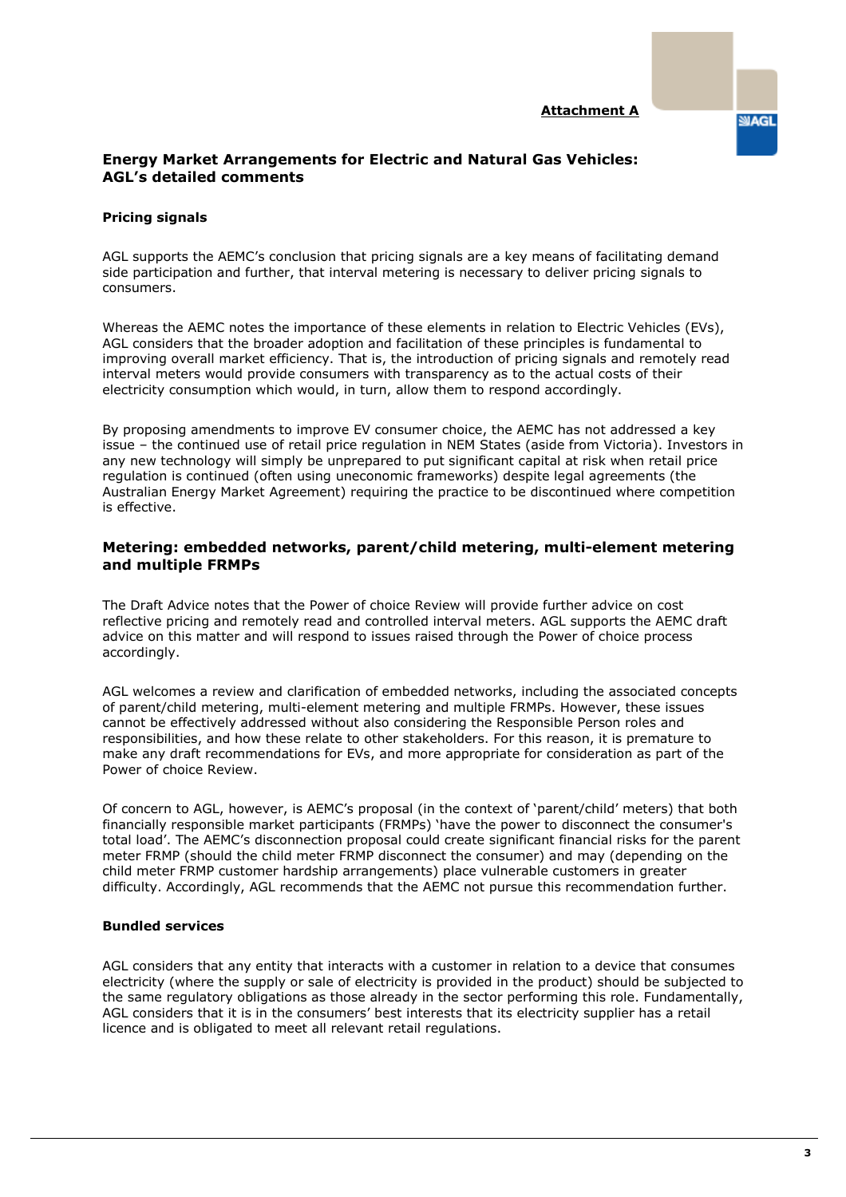#### Attachment A

**SIAGL** 

## Energy Market Arrangements for Electric and Natural Gas Vehicles: AGL's detailed comments

### Pricing signals

AGL supports the AEMC's conclusion that pricing signals are a key means of facilitating demand side participation and further, that interval metering is necessary to deliver pricing signals to consumers.

Whereas the AEMC notes the importance of these elements in relation to Electric Vehicles (EVs), AGL considers that the broader adoption and facilitation of these principles is fundamental to improving overall market efficiency. That is, the introduction of pricing signals and remotely read interval meters would provide consumers with transparency as to the actual costs of their electricity consumption which would, in turn, allow them to respond accordingly.

By proposing amendments to improve EV consumer choice, the AEMC has not addressed a key issue – the continued use of retail price regulation in NEM States (aside from Victoria). Investors in any new technology will simply be unprepared to put significant capital at risk when retail price regulation is continued (often using uneconomic frameworks) despite legal agreements (the Australian Energy Market Agreement) requiring the practice to be discontinued where competition is effective.

## Metering: embedded networks, parent/child metering, multi-element metering and multiple FRMPs

The Draft Advice notes that the Power of choice Review will provide further advice on cost reflective pricing and remotely read and controlled interval meters. AGL supports the AEMC draft advice on this matter and will respond to issues raised through the Power of choice process accordingly.

AGL welcomes a review and clarification of embedded networks, including the associated concepts of parent/child metering, multi-element metering and multiple FRMPs. However, these issues cannot be effectively addressed without also considering the Responsible Person roles and responsibilities, and how these relate to other stakeholders. For this reason, it is premature to make any draft recommendations for EVs, and more appropriate for consideration as part of the Power of choice Review.

Of concern to AGL, however, is AEMC's proposal (in the context of 'parent/child' meters) that both financially responsible market participants (FRMPs) 'have the power to disconnect the consumer's total load'. The AEMC's disconnection proposal could create significant financial risks for the parent meter FRMP (should the child meter FRMP disconnect the consumer) and may (depending on the child meter FRMP customer hardship arrangements) place vulnerable customers in greater difficulty. Accordingly, AGL recommends that the AEMC not pursue this recommendation further.

## Bundled services

AGL considers that any entity that interacts with a customer in relation to a device that consumes electricity (where the supply or sale of electricity is provided in the product) should be subjected to the same regulatory obligations as those already in the sector performing this role. Fundamentally, AGL considers that it is in the consumers' best interests that its electricity supplier has a retail licence and is obligated to meet all relevant retail regulations.